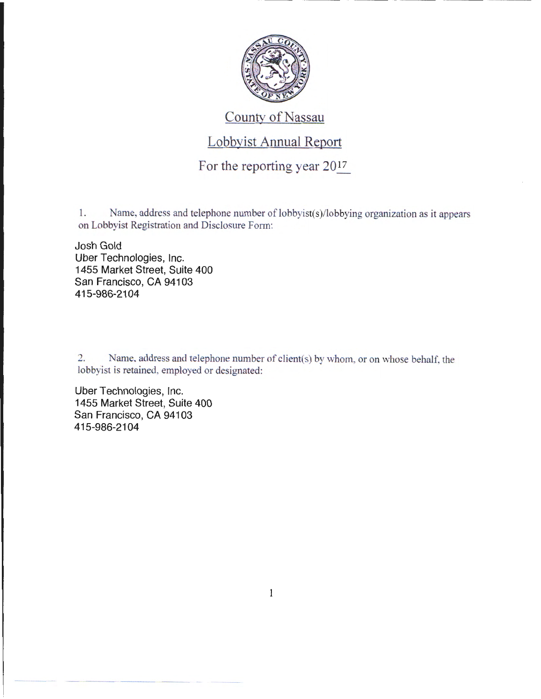

## County of Nassau

## Lobbyist Annual Report

For the reporting year 2017

1. Name, address and telephone number of lobbyist(s)/lobbying organization as it appears on Lobbyist Registration and Disclosure Form:

Josh Gold Uber Technologies, Inc. 1455 Market Street, Suite 400 San Francisco, CA 94103 415-986-2104

2. Name, address and telephone number of client(s) by whom, or on whose behalf, the lobbyist is retained, employed or designated:

Uber Technologies, Inc. 1455 Market Street, Suite 400 San Francisco, CA 94103 415-986-2104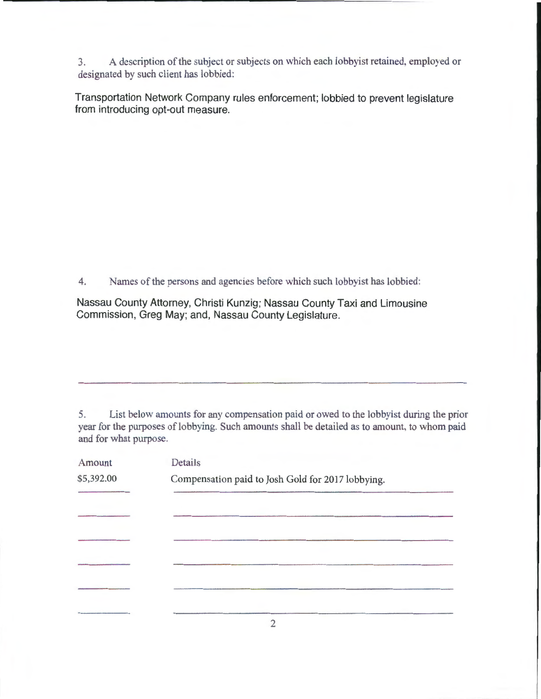3. A description of the subject or subjects on which each lobbyist retained, employed or designated by such client has lobbied:

Transportation Network Company rules enforcement; lobbied to prevent legislature from introducing opt-out measure.

4. Names of the persons and agencies before which such lobbyist has lobbied:

Nassau County Attorney, Christi Kunzig; Nassau County Taxi and Limousine Commission, Greg May; and, Nassau County Legislature.

5. List below amounts for any compensation paid or owed to the lobbyist during the prior year for the purposes of lobbying. Such amounts shall be detailed as to amount, to whom paid and for what purpose.

| Amount     | Details                                           |  |
|------------|---------------------------------------------------|--|
| \$5,392.00 | Compensation paid to Josh Gold for 2017 lobbying. |  |
|            |                                                   |  |
|            |                                                   |  |
|            |                                                   |  |
|            |                                                   |  |
|            |                                                   |  |
|            |                                                   |  |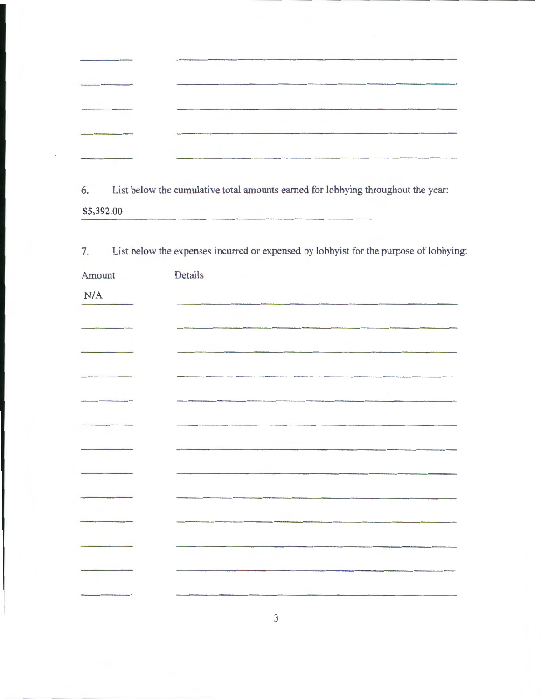$\cdot$ 

I

6. List below the cumulative total amounts earned for lobbying throughout the year: \$5,392.00

| Amount | Details |
|--------|---------|
| N/A    |         |
|        |         |
|        |         |
|        |         |
|        |         |
|        |         |
|        |         |
|        |         |
|        |         |
|        |         |
|        |         |
|        |         |
|        |         |
|        |         |

3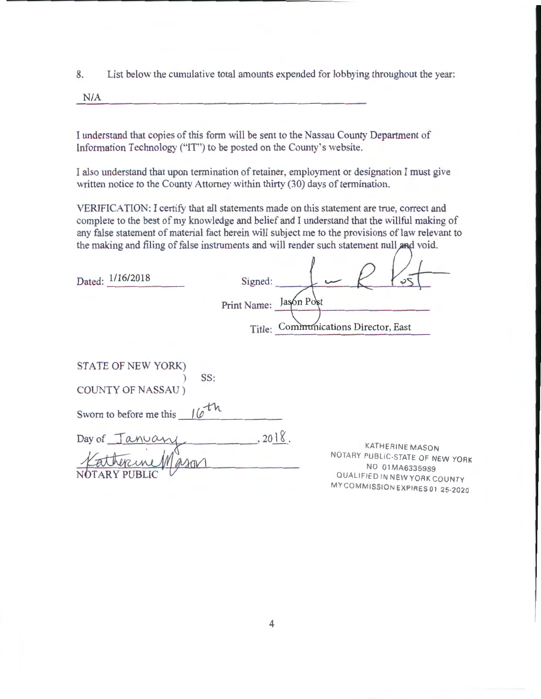8. List below the cumulative total amounts expended for lobbying throughout the year:

N/A

I understand that copies of this form will be sent to the Nassau County Department of Information Technology ("IT") to be posted on the County's website.

I also understand that upon termination of retainer, employment or designation I must give written notice to the County Attorney within thirty (30) days of termination.

VERIFICATION: I certify that all statements made on this statement are true, correct and complete to the best of my knowledge and belief and I understand that the willful making of any false statement of material fact herein will subject me to the provisions of law relevant to the making and filing of false instruments and will render such statement null and void.

| Dated: 1/16/2018                                     | Signed:<br>Print Name: Jasón Post<br>Title: Communications Director, East |  |
|------------------------------------------------------|---------------------------------------------------------------------------|--|
| STATE OF NEW YORK)                                   | SS:                                                                       |  |
| <b>COUNTY OF NASSAU</b> )<br>Sworn to before me this | 10 <sup>th</sup>                                                          |  |

Day of Tan SS:<br>
COUNTY OF NASSAU)<br>
Sworn to before me this 16<sup>th</sup><br>
Day of <u>January</u> 2018.<br>
<del>Yather me Mason</del>  $.2018.$ 

KATHERINE MASON NOTARY PUBLIC-STATE OF NEW YORK NO 01 MA6335989 QUALIFIED IN NEW YORK COUNTY MY COMMISSION EXPIRES 01 25-2020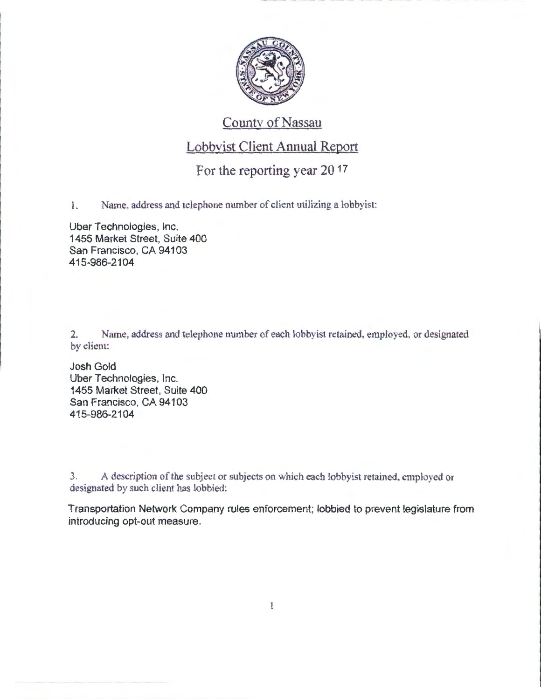

## County of Nassau

## Lobbvist Client Annual Report

For the reporting year 20 17

1. Name, address and telephone number of client utilizing a lobbyist:

Uber Technologies, Inc. 1455 Market Street, Suite 400 San Francisco, CA 94103 415-986-2104

2. Name, address and telephone number of each lobbyist retained, employed, or designated by client:

Josh Gold Uber Technologies, Inc. 1455 Market Street, Suite 400 San Francisco, CA 94103 415-986-2104

------------

........

3. A description of the subject or subjects on which each lobby ist retained, employed or designated by such client has lobbied:

Transportation Network Company rules enforcement; lobbied to prevent legislature from introducing opt-out measure.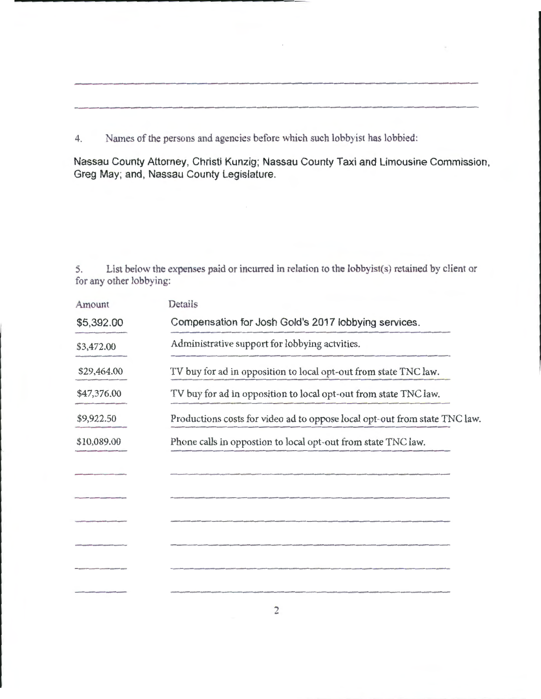4. Names of the persons and agencies before which such lobbyist has lobbied:

**Nassau County Attorney, Christi Kunzig; Nassau County Taxi and Limousine Commission, Greg May; and, Nassau County Legislature.** 

5. List below the expenses paid or incurred in relation to the lobbyist(s) retained by client or for any other lobbying:

| Amount      | Details                                                                    |
|-------------|----------------------------------------------------------------------------|
| \$5,392.00  | Compensation for Josh Gold's 2017 lobbying services.                       |
| \$3,472.00  | Administrative support for lobbying actvities.                             |
| \$29,464.00 | TV buy for ad in opposition to local opt-out from state TNC law.           |
| \$47,376.00 | TV buy for ad in opposition to local opt-out from state TNC law.           |
| \$9,922.50  | Productions costs for video ad to oppose local opt-out from state TNC law. |
| \$10,089.00 | Phone calls in oppostion to local opt-out from state TNC law.              |
|             |                                                                            |
|             |                                                                            |
|             |                                                                            |
|             |                                                                            |
|             |                                                                            |
|             |                                                                            |